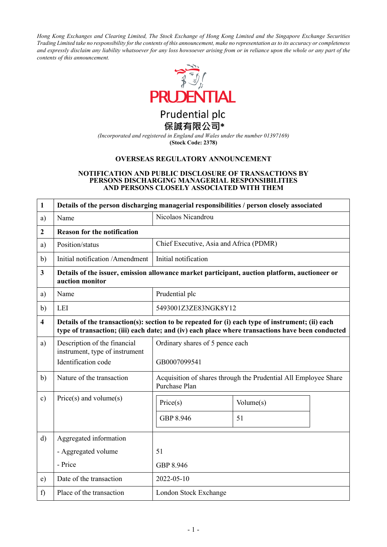*Hong Kong Exchanges and Clearing Limited, The Stock Exchange of Hong Kong Limited and the Singapore Exchange Securities Trading Limited take no responsibility for the contents of this announcement, make no representation as to its accuracy or completeness and expressly disclaim any liability whatsoever for any loss howsoever arising from or in reliance upon the whole or any part of the contents of this announcement.*



Prudential plc 保誠有限公司\*

*(Incorporated and registered in England and Wales under the number 01397169)* **(Stock Code: 2378)**

## **OVERSEAS REGULATORY ANNOUNCEMENT**

#### **NOTIFICATION AND PUBLIC DISCLOSURE OF TRANSACTIONS BY PERSONS DISCHARGING MANAGERIAL RESPONSIBILITIES AND PERSONS CLOSELY ASSOCIATED WITH THEM**

| $\mathbf{1}$            | Details of the person discharging managerial responsibilities / person closely associated                                                                                                            |                                                                                  |                 |  |  |
|-------------------------|------------------------------------------------------------------------------------------------------------------------------------------------------------------------------------------------------|----------------------------------------------------------------------------------|-----------------|--|--|
| a)                      | Name                                                                                                                                                                                                 | Nicolaos Nicandrou                                                               |                 |  |  |
| $\boldsymbol{2}$        | <b>Reason for the notification</b>                                                                                                                                                                   |                                                                                  |                 |  |  |
| a)                      | Position/status                                                                                                                                                                                      | Chief Executive, Asia and Africa (PDMR)                                          |                 |  |  |
| b)                      | Initial notification /Amendment                                                                                                                                                                      | Initial notification                                                             |                 |  |  |
| 3                       | Details of the issuer, emission allowance market participant, auction platform, auctioneer or<br>auction monitor                                                                                     |                                                                                  |                 |  |  |
| a)                      | Name                                                                                                                                                                                                 | Prudential plc                                                                   |                 |  |  |
| b)                      | <b>LEI</b>                                                                                                                                                                                           | 5493001Z3ZE83NGK8Y12                                                             |                 |  |  |
| $\overline{\mathbf{4}}$ | Details of the transaction(s): section to be repeated for (i) each type of instrument; (ii) each<br>type of transaction; (iii) each date; and (iv) each place where transactions have been conducted |                                                                                  |                 |  |  |
| a)                      | Description of the financial<br>instrument, type of instrument<br>Identification code                                                                                                                | Ordinary shares of 5 pence each<br>GB0007099541                                  |                 |  |  |
| b)                      | Nature of the transaction                                                                                                                                                                            | Acquisition of shares through the Prudential All Employee Share<br>Purchase Plan |                 |  |  |
| $\circ$ )               | $Price(s)$ and volume $(s)$                                                                                                                                                                          | Price(s)<br>GBP 8.946                                                            | Volume(s)<br>51 |  |  |
| $\mathbf{d}$            | Aggregated information                                                                                                                                                                               |                                                                                  |                 |  |  |
|                         | - Aggregated volume                                                                                                                                                                                  | 51                                                                               |                 |  |  |
|                         | - Price                                                                                                                                                                                              | GBP 8.946                                                                        |                 |  |  |
| e)                      | Date of the transaction                                                                                                                                                                              | 2022-05-10                                                                       |                 |  |  |
| f)                      | Place of the transaction                                                                                                                                                                             | London Stock Exchange                                                            |                 |  |  |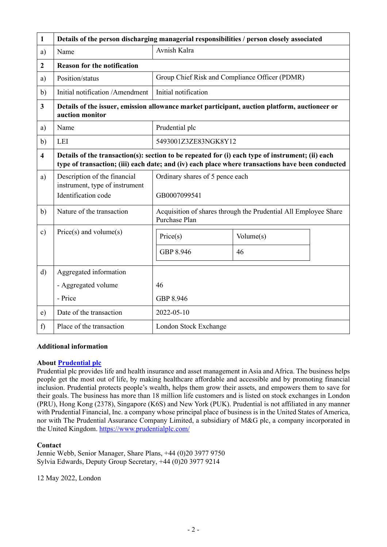| 1                       | Details of the person discharging managerial responsibilities / person closely associated                        |                                                                                                                                                                                                      |           |  |  |
|-------------------------|------------------------------------------------------------------------------------------------------------------|------------------------------------------------------------------------------------------------------------------------------------------------------------------------------------------------------|-----------|--|--|
| a)                      | Name                                                                                                             | Avnish Kalra                                                                                                                                                                                         |           |  |  |
| $\boldsymbol{2}$        | <b>Reason for the notification</b>                                                                               |                                                                                                                                                                                                      |           |  |  |
| a)                      | Position/status                                                                                                  | Group Chief Risk and Compliance Officer (PDMR)                                                                                                                                                       |           |  |  |
| b)                      | Initial notification / Amendment                                                                                 | Initial notification                                                                                                                                                                                 |           |  |  |
| $\mathbf{3}$            | Details of the issuer, emission allowance market participant, auction platform, auctioneer or<br>auction monitor |                                                                                                                                                                                                      |           |  |  |
| a)                      | Name                                                                                                             | Prudential plc                                                                                                                                                                                       |           |  |  |
| b)                      | LEI                                                                                                              | 5493001Z3ZE83NGK8Y12                                                                                                                                                                                 |           |  |  |
| $\overline{\mathbf{4}}$ |                                                                                                                  | Details of the transaction(s): section to be repeated for (i) each type of instrument; (ii) each<br>type of transaction; (iii) each date; and (iv) each place where transactions have been conducted |           |  |  |
| a)                      | Description of the financial<br>instrument, type of instrument                                                   | Ordinary shares of 5 pence each                                                                                                                                                                      |           |  |  |
|                         | Identification code                                                                                              | GB0007099541                                                                                                                                                                                         |           |  |  |
| b)                      | Nature of the transaction                                                                                        | Acquisition of shares through the Prudential All Employee Share<br>Purchase Plan                                                                                                                     |           |  |  |
| $\mathbf{c})$           | $Price(s)$ and volume $(s)$                                                                                      | Price(s)                                                                                                                                                                                             | Volume(s) |  |  |
|                         |                                                                                                                  | GBP 8.946                                                                                                                                                                                            | 46        |  |  |
| $\mathbf{d}$            | Aggregated information                                                                                           |                                                                                                                                                                                                      |           |  |  |
|                         | - Aggregated volume                                                                                              | 46                                                                                                                                                                                                   |           |  |  |
|                         | - Price                                                                                                          | GBP 8.946                                                                                                                                                                                            |           |  |  |
| e)                      | Date of the transaction                                                                                          | 2022-05-10                                                                                                                                                                                           |           |  |  |
| f)                      | Place of the transaction                                                                                         | London Stock Exchange                                                                                                                                                                                |           |  |  |

## **Additional information**

## **About [Prudential plc](https://www.prudentialplc.com/en)**

Prudential plc provides life and health insurance and asset management in Asia and Africa. The business helps people get the most out of life, by making healthcare affordable and accessible and by promoting financial inclusion. Prudential protects people's wealth, helps them grow their assets, and empowers them to save for their goals. The business has more than 18 million life customers and is listed on stock exchanges in London (PRU), Hong Kong (2378), Singapore (K6S) and New York (PUK). Prudential is not affiliated in any manner with Prudential Financial, Inc. a company whose principal place of business is in the United States of America, nor with The Prudential Assurance Company Limited, a subsidiary of M&G plc, a company incorporated in the United Kingdom.<https://www.prudentialplc.com/>

# **Contact**

Jennie Webb, Senior Manager, Share Plans, +44 (0)20 3977 9750 Sylvia Edwards, Deputy Group Secretary, +44 (0)20 3977 9214

12 May 2022, London